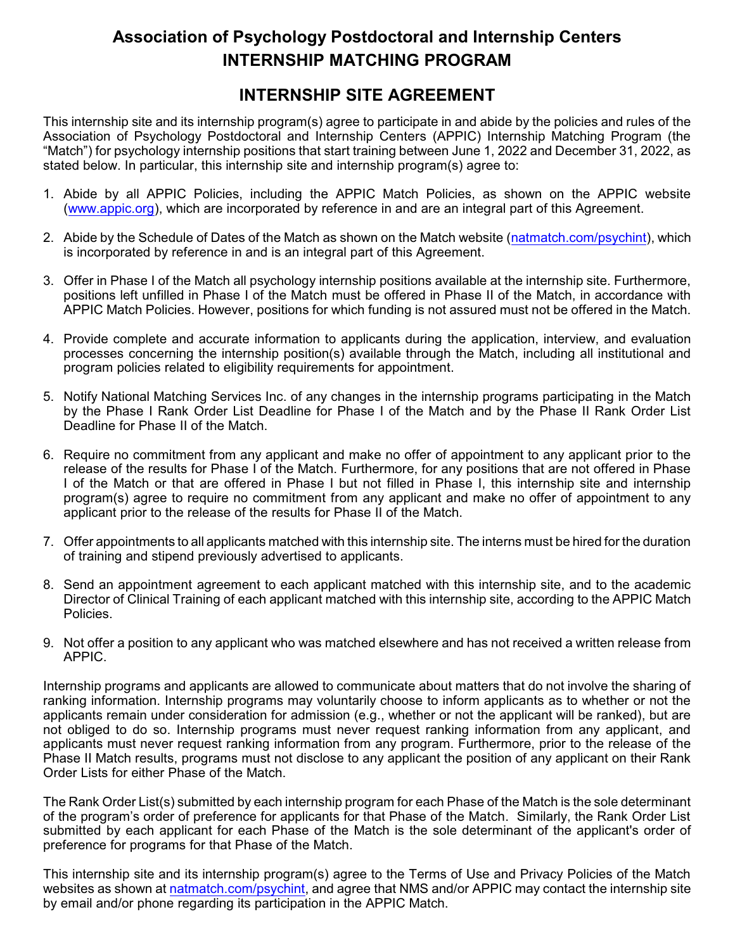## **Association of Psychology Postdoctoral and Internship Centers INTERNSHIP MATCHING PROGRAM**

## **INTERNSHIP SITE AGREEMENT**

This internship site and its internship program(s) agree to participate in and abide by the policies and rules of the Association of Psychology Postdoctoral and Internship Centers (APPIC) Internship Matching Program (the "Match") for psychology internship positions that start training between June 1, 2022 and December 31, 2022, as stated below. In particular, this internship site and internship program(s) agree to:

- 1. Abide by all APPIC Policies, including the APPIC Match Policies, as shown on the APPIC website [\(www.appic.org](http://www.appic.org)), which are incorporated by reference in and are an integral part of this Agreement.
- 2. Abide by the Schedule of Dates of the Match as shown on the Match website [\(natmatch.com/psychint](https://natmatch.com/psychint)), which is incorporated by reference in and is an integral part of this Agreement.
- 3. Offer in Phase I of the Match all psychology internship positions available at the internship site. Furthermore, positions left unfilled in Phase I of the Match must be offered in Phase II of the Match, in accordance with APPIC Match Policies. However, positions for which funding is not assured must not be offered in the Match.
- 4. Provide complete and accurate information to applicants during the application, interview, and evaluation processes concerning the internship position(s) available through the Match, including all institutional and program policies related to eligibility requirements for appointment.
- 5. Notify National Matching Services Inc. of any changes in the internship programs participating in the Match by the Phase I Rank Order List Deadline for Phase I of the Match and by the Phase II Rank Order List Deadline for Phase II of the Match.
- 6. Require no commitment from any applicant and make no offer of appointment to any applicant prior to the release of the results for Phase I of the Match. Furthermore, for any positions that are not offered in Phase I of the Match or that are offered in Phase I but not filled in Phase I, this internship site and internship program(s) agree to require no commitment from any applicant and make no offer of appointment to any applicant prior to the release of the results for Phase II of the Match.
- 7. Offer appointments to all applicants matched with this internship site. The interns must be hired for the duration of training and stipend previously advertised to applicants.
- 8. Send an appointment agreement to each applicant matched with this internship site, and to the academic Director of Clinical Training of each applicant matched with this internship site, according to the APPIC Match Policies.
- 9. Not offer a position to any applicant who was matched elsewhere and has not received a written release from APPIC.

Internship programs and applicants are allowed to communicate about matters that do not involve the sharing of ranking information. Internship programs may voluntarily choose to inform applicants as to whether or not the applicants remain under consideration for admission (e.g., whether or not the applicant will be ranked), but are not obliged to do so. Internship programs must never request ranking information from any applicant, and applicants must never request ranking information from any program. Furthermore, prior to the release of the Phase II Match results, programs must not disclose to any applicant the position of any applicant on their Rank Order Lists for either Phase of the Match.

The Rank Order List(s) submitted by each internship program for each Phase of the Match is the sole determinant of the program's order of preference for applicants for that Phase of the Match. Similarly, the Rank Order List submitted by each applicant for each Phase of the Match is the sole determinant of the applicant's order of preference for programs for that Phase of the Match.

This internship site and its internship program(s) agree to the Terms of Use and Privacy Policies of the Match websites as shown at [natmatch.com/psychint](https://natmatch.com/psychint), and agree that NMS and/or APPIC may contact the internship site by email and/or phone regarding its participation in the APPIC Match.